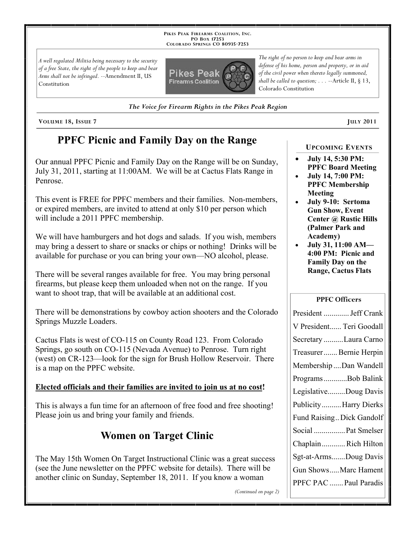**PIKES PEAK FIREARMS COALITION, INC. PO BOX 17253 COLORADO SPRINGS CO 80935 -7253**

*A well regulated Militia being necessary to the security of a free State, the right of the people to keep and bear Arms shall not be infringed.* --Amendment II, US Constitution



*The right of no person to keep and bear arms in defense of his home, person and property, or in aid of the civil power when thereto legally summoned, shall be called to question; . . .* --Article II, § 13, Colorado Constitution

*The Voice for Firearm Rights in the Pikes Peak Region*

**VOLUME 18, ISSUE 7 JULY 2011**

## **PPFC Picnic and Family Day on the Range**

Our annual PPFC Picnic and Family Day on the Range will be on Sunday, July 31, 2011, starting at 11:00AM. We will be at Cactus Flats Range in Penrose.

This event is FREE for PPFC members and their families. Non-members, or expired members, are invited to attend at only \$10 per person which will include a 2011 PPFC membership.

We will have hamburgers and hot dogs and salads. If you wish, members may bring a dessert to share or snacks or chips or nothing! Drinks will be available for purchase or you can bring your own—NO alcohol, please.

There will be several ranges available for free. You may bring personal firearms, but please keep them unloaded when not on the range. If you want to shoot trap, that will be available at an additional cost.

There will be demonstrations by cowboy action shooters and the Colorado Springs Muzzle Loaders.

Cactus Flats is west of CO-115 on County Road 123. From Colorado Springs, go south on CO-115 (Nevada Avenue) to Penrose. Turn right (west) on CR-123—look for the sign for Brush Hollow Reservoir. There is a map on the PPFC website.

## **Elected officials and their families are invited to join us at no cost!**

This is always a fun time for an afternoon of free food and free shooting! Please join us and bring your family and friends.

# **Women on Target Clinic**

The May 15th Women On Target Instructional Clinic was a great success (see the June newsletter on the PPFC website for details). There will be another clinic on Sunday, September 18, 2011. If you know a woman

**UPCOMING EVENTS**

- **July 14, 5:30 PM: PPFC Board Meeting**
- **July 14, 7:00 PM: PPFC Membership Meeting**
- **July 9-10: Sertoma Gun Show, Event Center @ Rustic Hills (Palmer Park and Academy)**
- **July 31, 11:00 AM— 4:00 PM: Picnic and Family Day on the Range, Cactus Flats**

### **PPFC Officers**

| President  Jeff Crank     |
|---------------------------|
| V President Teri Goodall  |
| Secretary Laura Carno     |
| Treasurer Bernie Herpin   |
| Membership Dan Wandell    |
| Programs Bob Balink       |
| LegislativeDoug Davis     |
| PublicityHarry Dierks     |
| Fund Raising Dick Gandolf |
| Social  Pat Smelser       |
| ChaplainRich Hilton       |
| Sgt-at-ArmsDoug Davis     |
| Gun ShowsMarc Hament      |
| PPFC PAC  Paul Paradis    |

*(Continued on page 2)*